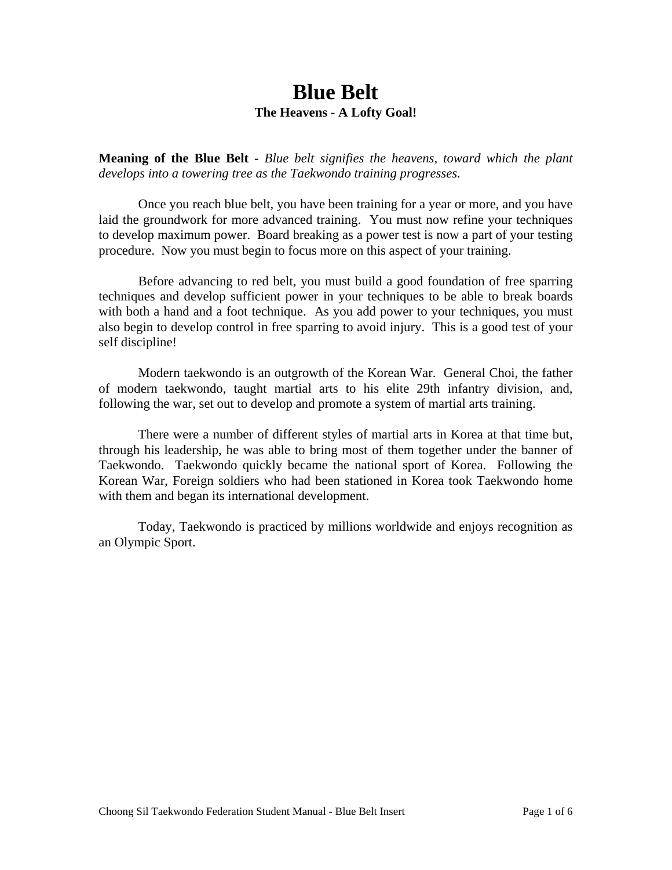## **Blue Belt The Heavens - A Lofty Goal!**

**Meaning of the Blue Belt -** *Blue belt signifies the heavens, toward which the plant develops into a towering tree as the Taekwondo training progresses.*

 Once you reach blue belt, you have been training for a year or more, and you have laid the groundwork for more advanced training. You must now refine your techniques to develop maximum power. Board breaking as a power test is now a part of your testing procedure. Now you must begin to focus more on this aspect of your training.

Before advancing to red belt, you must build a good foundation of free sparring techniques and develop sufficient power in your techniques to be able to break boards with both a hand and a foot technique. As you add power to your techniques, you must also begin to develop control in free sparring to avoid injury. This is a good test of your self discipline!

 Modern taekwondo is an outgrowth of the Korean War. General Choi, the father of modern taekwondo, taught martial arts to his elite 29th infantry division, and, following the war, set out to develop and promote a system of martial arts training.

There were a number of different styles of martial arts in Korea at that time but, through his leadership, he was able to bring most of them together under the banner of Taekwondo. Taekwondo quickly became the national sport of Korea. Following the Korean War, Foreign soldiers who had been stationed in Korea took Taekwondo home with them and began its international development.

Today, Taekwondo is practiced by millions worldwide and enjoys recognition as an Olympic Sport.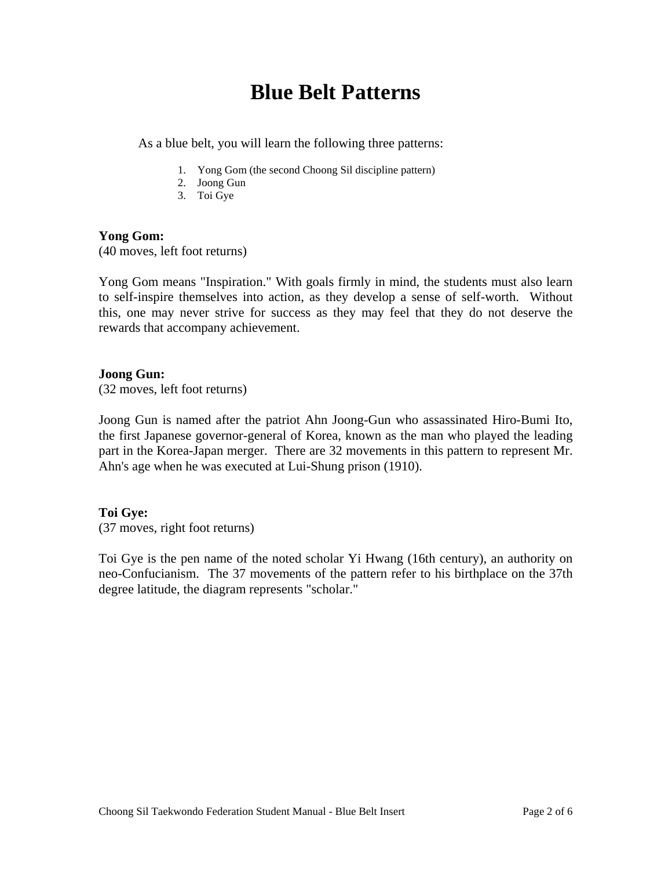# **Blue Belt Patterns**

As a blue belt, you will learn the following three patterns:

- 1. Yong Gom (the second Choong Sil discipline pattern)
- 2. Joong Gun
- 3. Toi Gye

### **Yong Gom:**  (40 moves, left foot returns)

Yong Gom means "Inspiration." With goals firmly in mind, the students must also learn to self-inspire themselves into action, as they develop a sense of self-worth. Without this, one may never strive for success as they may feel that they do not deserve the rewards that accompany achievement.

### **Joong Gun:**

(32 moves, left foot returns)

Joong Gun is named after the patriot Ahn Joong-Gun who assassinated Hiro-Bumi Ito, the first Japanese governor-general of Korea, known as the man who played the leading part in the Korea-Japan merger. There are 32 movements in this pattern to represent Mr. Ahn's age when he was executed at Lui-Shung prison (1910).

### **Toi Gye:**

(37 moves, right foot returns)

Toi Gye is the pen name of the noted scholar Yi Hwang (16th century), an authority on neo-Confucianism. The 37 movements of the pattern refer to his birthplace on the 37th degree latitude, the diagram represents "scholar."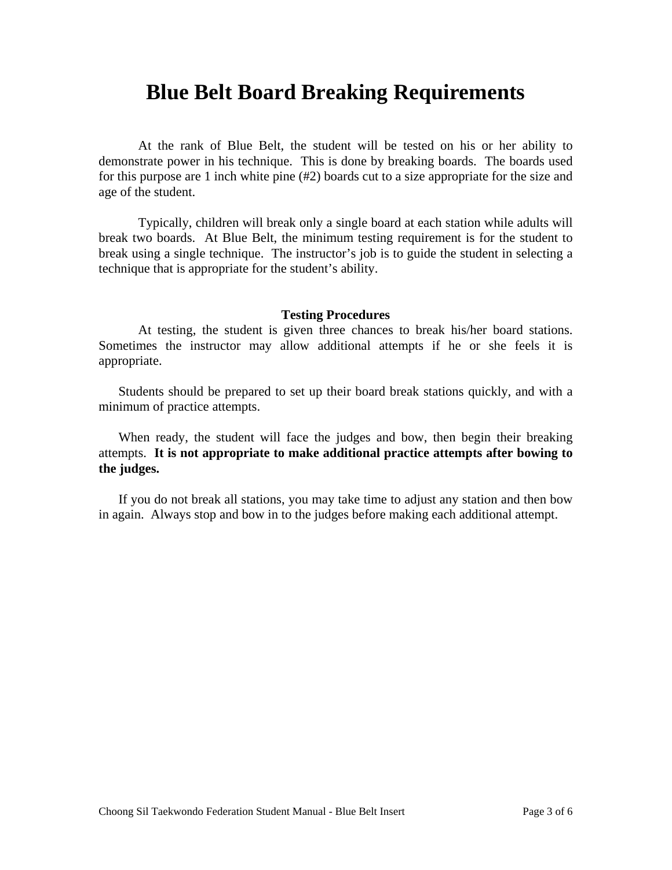## **Blue Belt Board Breaking Requirements**

At the rank of Blue Belt, the student will be tested on his or her ability to demonstrate power in his technique. This is done by breaking boards. The boards used for this purpose are 1 inch white pine (#2) boards cut to a size appropriate for the size and age of the student.

Typically, children will break only a single board at each station while adults will break two boards. At Blue Belt, the minimum testing requirement is for the student to break using a single technique. The instructor's job is to guide the student in selecting a technique that is appropriate for the student's ability.

#### **Testing Procedures**

At testing, the student is given three chances to break his/her board stations. Sometimes the instructor may allow additional attempts if he or she feels it is appropriate.

 Students should be prepared to set up their board break stations quickly, and with a minimum of practice attempts.

 When ready, the student will face the judges and bow, then begin their breaking attempts. **It is not appropriate to make additional practice attempts after bowing to the judges.**

 If you do not break all stations, you may take time to adjust any station and then bow in again. Always stop and bow in to the judges before making each additional attempt.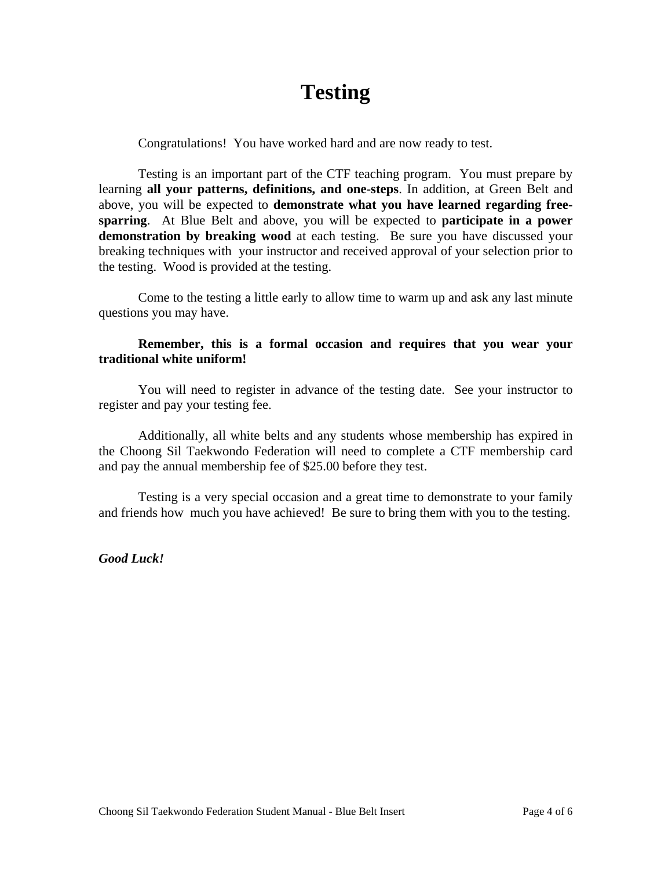# **Testing**

Congratulations! You have worked hard and are now ready to test.

Testing is an important part of the CTF teaching program. You must prepare by learning **all your patterns, definitions, and one-steps**. In addition, at Green Belt and above, you will be expected to **demonstrate what you have learned regarding freesparring**. At Blue Belt and above, you will be expected to **participate in a power demonstration by breaking wood** at each testing. Be sure you have discussed your breaking techniques with your instructor and received approval of your selection prior to the testing. Wood is provided at the testing.

Come to the testing a little early to allow time to warm up and ask any last minute questions you may have.

### **Remember, this is a formal occasion and requires that you wear your traditional white uniform!**

You will need to register in advance of the testing date. See your instructor to register and pay your testing fee.

Additionally, all white belts and any students whose membership has expired in the Choong Sil Taekwondo Federation will need to complete a CTF membership card and pay the annual membership fee of \$25.00 before they test.

Testing is a very special occasion and a great time to demonstrate to your family and friends how much you have achieved! Be sure to bring them with you to the testing.

*Good Luck!*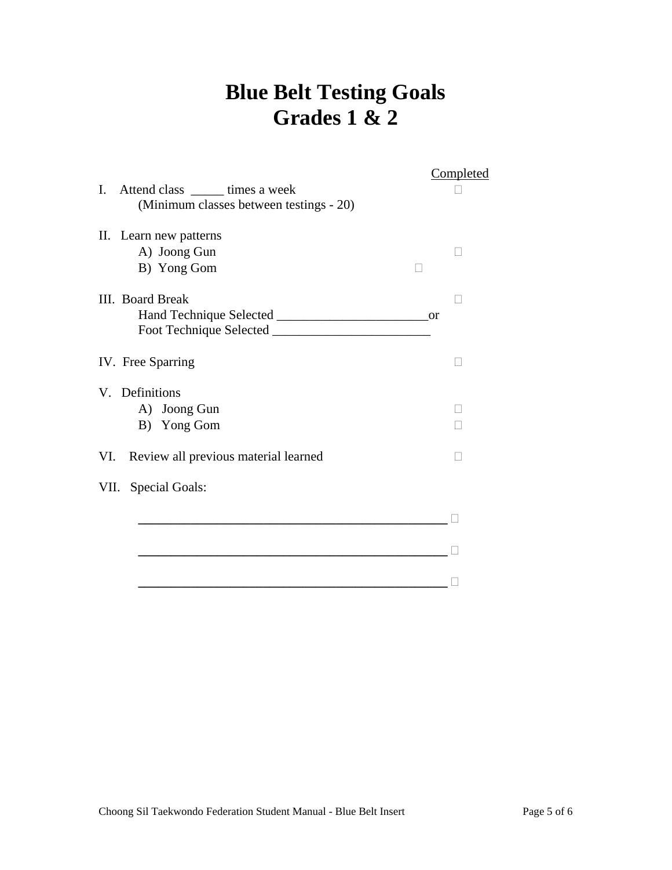# **Blue Belt Testing Goals Grades 1 & 2**

|     |                                         | <b>Completed</b> |
|-----|-----------------------------------------|------------------|
| I.  | Attend class _______ times a week       |                  |
|     | (Minimum classes between testings - 20) |                  |
|     |                                         |                  |
|     | II. Learn new patterns                  |                  |
|     | A) Joong Gun                            |                  |
|     | B) Yong Gom                             |                  |
|     | III. Board Break                        |                  |
|     |                                         |                  |
|     |                                         |                  |
|     |                                         |                  |
|     | IV. Free Sparring                       |                  |
|     |                                         |                  |
|     | V. Definitions                          |                  |
|     | A) Joong Gun                            |                  |
|     | B) Yong Gom                             |                  |
|     |                                         |                  |
| VI. | Review all previous material learned    |                  |
|     | VII. Special Goals:                     |                  |
|     |                                         |                  |
|     |                                         |                  |
|     |                                         |                  |
|     |                                         |                  |
|     |                                         |                  |
|     |                                         |                  |